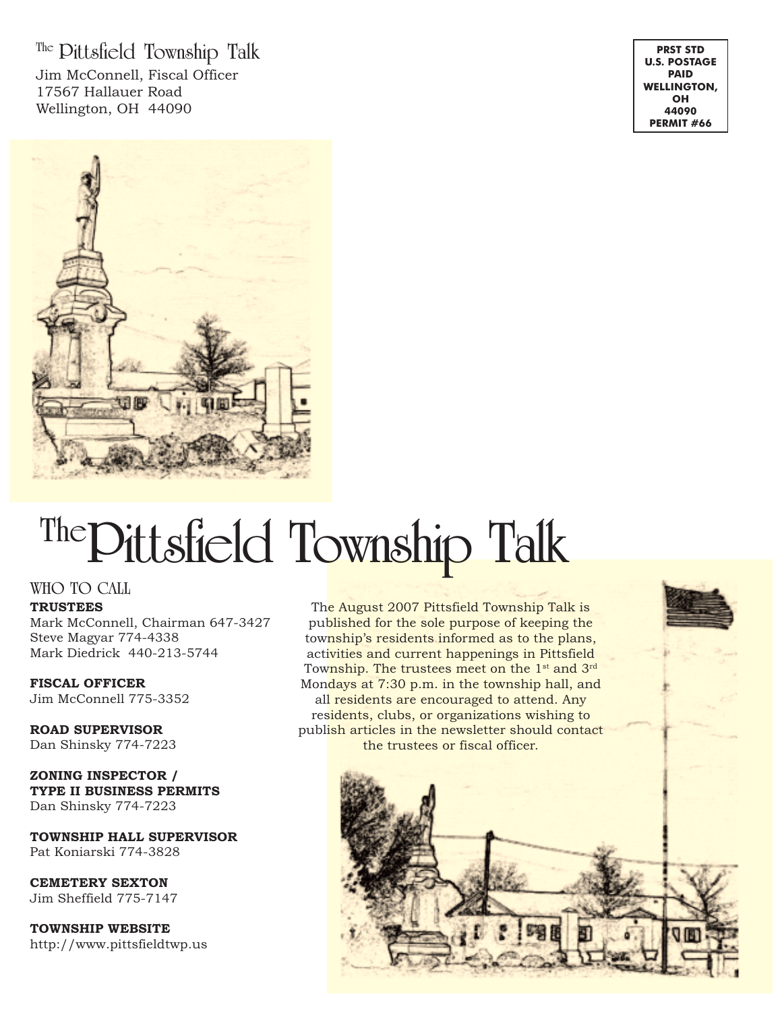**The Pittsfield Township Talk** Jim McConnell, Fiscal Officer 17567 Hallauer Road Wellington, OH 44090

**PRST STD U.S. POSTAGE PAID WELLINGTON, OH 44090 PERMIT #66**



# **ThePittsfield Township Talk**

#### **WHO TO CALL**

**TRUSTEES**

Mark McConnell, Chairman 647-3427 Steve Magyar 774-4338 Mark Diedrick 440-213-5744

**FISCAL OFFICER** Jim McConnell 775-3352

**ROAD SUPERVISOR** Dan Shinsky 774-7223

**ZONING INSPECTOR / TYPE II BUSINESS PERMITS** Dan Shinsky 774-7223

**TOWNSHIP HALL SUPERVISOR** Pat Koniarski 774-3828

**CEMETERY SEXTON** Jim Sheffield 775-7147

**TOWNSHIP WEBSITE** http://www.pittsfieldtwp.us

The August 2007 Pittsfield Township Talk is published for the sole purpose of keeping the township's residents informed as to the plans, activities and current happenings in Pittsfield Township. The trustees meet on the 1<sup>st</sup> and 3<sup>rd</sup> Mondays at 7:30 p.m. in the township hall, and all residents are encouraged to attend. Any residents, clubs, or organizations wishing to publish articles in the newsletter should contact the trustees or fiscal officer.

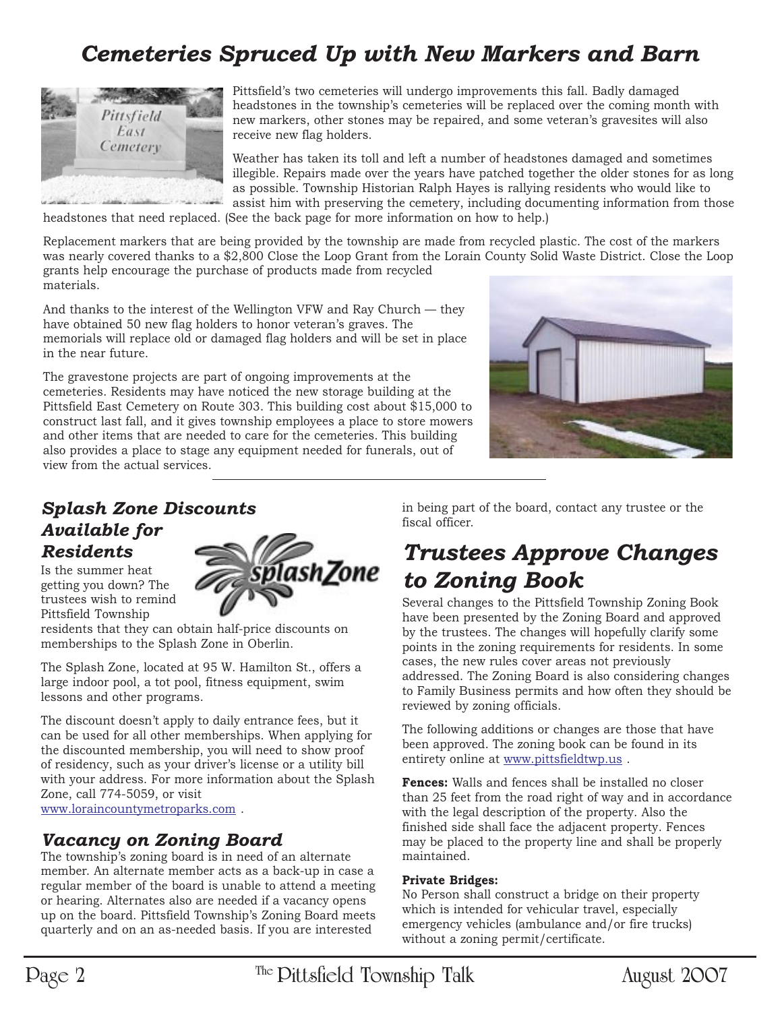# *Cemeteries Spruced Up with New Markers and Barn*



Pittsfield's two cemeteries will undergo improvements this fall. Badly damaged headstones in the township's cemeteries will be replaced over the coming month with new markers, other stones may be repaired, and some veteran's gravesites will also receive new flag holders.

Weather has taken its toll and left a number of headstones damaged and sometimes illegible. Repairs made over the years have patched together the older stones for as long as possible. Township Historian Ralph Hayes is rallying residents who would like to assist him with preserving the cemetery, including documenting information from those

headstones that need replaced. (See the back page for more information on how to help.)

Replacement markers that are being provided by the township are made from recycled plastic. The cost of the markers was nearly covered thanks to a \$2,800 Close the Loop Grant from the Lorain County Solid Waste District. Close the Loop grants help encourage the purchase of products made from recycled materials.

And thanks to the interest of the Wellington VFW and Ray Church — they have obtained 50 new flag holders to honor veteran's graves. The memorials will replace old or damaged flag holders and will be set in place in the near future.

The gravestone projects are part of ongoing improvements at the cemeteries. Residents may have noticed the new storage building at the Pittsfield East Cemetery on Route 303. This building cost about \$15,000 to construct last fall, and it gives township employees a place to store mowers and other items that are needed to care for the cemeteries. This building also provides a place to stage any equipment needed for funerals, out of view from the actual services.



## *Splash Zone Discounts Available for Residents*

Is the summer heat getting you down? The trustees wish to remind Pittsfield Township



residents that they can obtain half-price discounts on memberships to the Splash Zone in Oberlin.

The Splash Zone, located at 95 W. Hamilton St., offers a large indoor pool, a tot pool, fitness equipment, swim lessons and other programs.

The discount doesn't apply to daily entrance fees, but it can be used for all other memberships. When applying for the discounted membership, you will need to show proof of residency, such as your driver's license or a utility bill with your address. For more information about the Splash Zone, call 774-5059, or visit www.loraincountymetroparks.com .

*Vacancy on Zoning Board*

The township's zoning board is in need of an alternate member. An alternate member acts as a back-up in case a regular member of the board is unable to attend a meeting or hearing. Alternates also are needed if a vacancy opens up on the board. Pittsfield Township's Zoning Board meets quarterly and on an as-needed basis. If you are interested

in being part of the board, contact any trustee or the fiscal officer.

## *Trustees Approve Changes to Zoning Book*

Several changes to the Pittsfield Township Zoning Book have been presented by the Zoning Board and approved by the trustees. The changes will hopefully clarify some points in the zoning requirements for residents. In some cases, the new rules cover areas not previously addressed. The Zoning Board is also considering changes to Family Business permits and how often they should be reviewed by zoning officials.

The following additions or changes are those that have been approved. The zoning book can be found in its entirety online at www.pittsfieldtwp.us .

**Fences:** Walls and fences shall be installed no closer than 25 feet from the road right of way and in accordance with the legal description of the property. Also the finished side shall face the adjacent property. Fences may be placed to the property line and shall be properly maintained.

#### **Private Bridges:**

No Person shall construct a bridge on their property which is intended for vehicular travel, especially emergency vehicles (ambulance and/or fire trucks) without a zoning permit/certificate.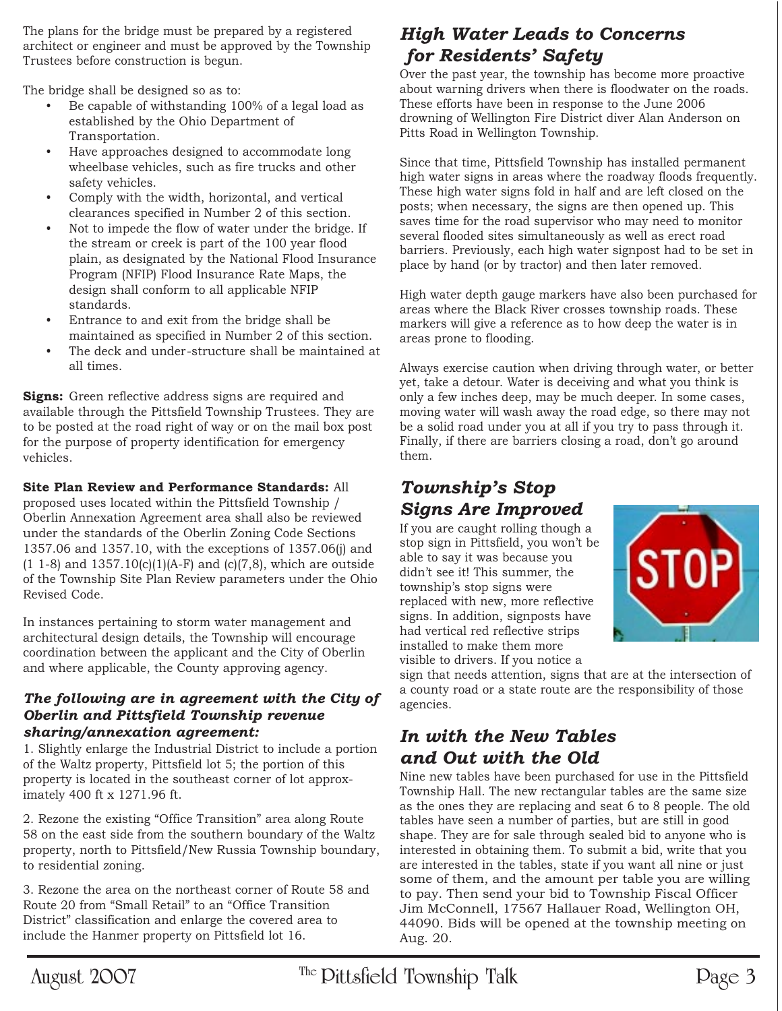The plans for the bridge must be prepared by a registered architect or engineer and must be approved by the Township Trustees before construction is begun.

The bridge shall be designed so as to:

- Be capable of withstanding 100% of a legal load as established by the Ohio Department of Transportation.
- Have approaches designed to accommodate long wheelbase vehicles, such as fire trucks and other safety vehicles.
- Comply with the width, horizontal, and vertical clearances specified in Number 2 of this section.
- Not to impede the flow of water under the bridge. If the stream or creek is part of the 100 year flood plain, as designated by the National Flood Insurance Program (NFIP) Flood Insurance Rate Maps, the design shall conform to all applicable NFIP standards.
- Entrance to and exit from the bridge shall be maintained as specified in Number 2 of this section.
- The deck and under-structure shall be maintained at all times.

**Signs:** Green reflective address signs are required and available through the Pittsfield Township Trustees. They are to be posted at the road right of way or on the mail box post for the purpose of property identification for emergency vehicles.

#### **Site Plan Review and Performance Standards:** All

proposed uses located within the Pittsfield Township / Oberlin Annexation Agreement area shall also be reviewed under the standards of the Oberlin Zoning Code Sections 1357.06 and 1357.10, with the exceptions of 1357.06(j) and  $(1\ 1-8)$  and  $1357.10(c)(1)(A-F)$  and  $(c)(7,8)$ , which are outside of the Township Site Plan Review parameters under the Ohio Revised Code.

In instances pertaining to storm water management and architectural design details, the Township will encourage coordination between the applicant and the City of Oberlin and where applicable, the County approving agency.

#### *The following are in agreement with the City of Oberlin and Pittsfield Township revenue sharing/annexation agreement:*

1. Slightly enlarge the Industrial District to include a portion of the Waltz property, Pittsfield lot 5; the portion of this property is located in the southeast corner of lot approximately 400 ft x 1271.96 ft.

2. Rezone the existing "Office Transition" area along Route 58 on the east side from the southern boundary of the Waltz property, north to Pittsfield/New Russia Township boundary, to residential zoning.

3. Rezone the area on the northeast corner of Route 58 and Route 20 from "Small Retail" to an "Office Transition District" classification and enlarge the covered area to include the Hanmer property on Pittsfield lot 16.

## *High Water Leads to Concerns for Residents' Safety*

Over the past year, the township has become more proactive about warning drivers when there is floodwater on the roads. These efforts have been in response to the June 2006 drowning of Wellington Fire District diver Alan Anderson on Pitts Road in Wellington Township.

Since that time, Pittsfield Township has installed permanent high water signs in areas where the roadway floods frequently. These high water signs fold in half and are left closed on the posts; when necessary, the signs are then opened up. This saves time for the road supervisor who may need to monitor several flooded sites simultaneously as well as erect road barriers. Previously, each high water signpost had to be set in place by hand (or by tractor) and then later removed.

High water depth gauge markers have also been purchased for areas where the Black River crosses township roads. These markers will give a reference as to how deep the water is in areas prone to flooding.

Always exercise caution when driving through water, or better yet, take a detour. Water is deceiving and what you think is only a few inches deep, may be much deeper. In some cases, moving water will wash away the road edge, so there may not be a solid road under you at all if you try to pass through it. Finally, if there are barriers closing a road, don't go around them.

## *Township's Stop Signs Are Improved*

If you are caught rolling though a stop sign in Pittsfield, you won't be able to say it was because you didn't see it! This summer, the township's stop signs were replaced with new, more reflective signs. In addition, signposts have had vertical red reflective strips installed to make them more visible to drivers. If you notice a



sign that needs attention, signs that are at the intersection of a county road or a state route are the responsibility of those agencies.

### *In with the New Tables and Out with the Old*

Nine new tables have been purchased for use in the Pittsfield Township Hall. The new rectangular tables are the same size as the ones they are replacing and seat 6 to 8 people. The old tables have seen a number of parties, but are still in good shape. They are for sale through sealed bid to anyone who is interested in obtaining them. To submit a bid, write that you are interested in the tables, state if you want all nine or just some of them, and the amount per table you are willing to pay. Then send your bid to Township Fiscal Officer Jim McConnell, 17567 Hallauer Road, Wellington OH, 44090. Bids will be opened at the township meeting on Aug. 20.